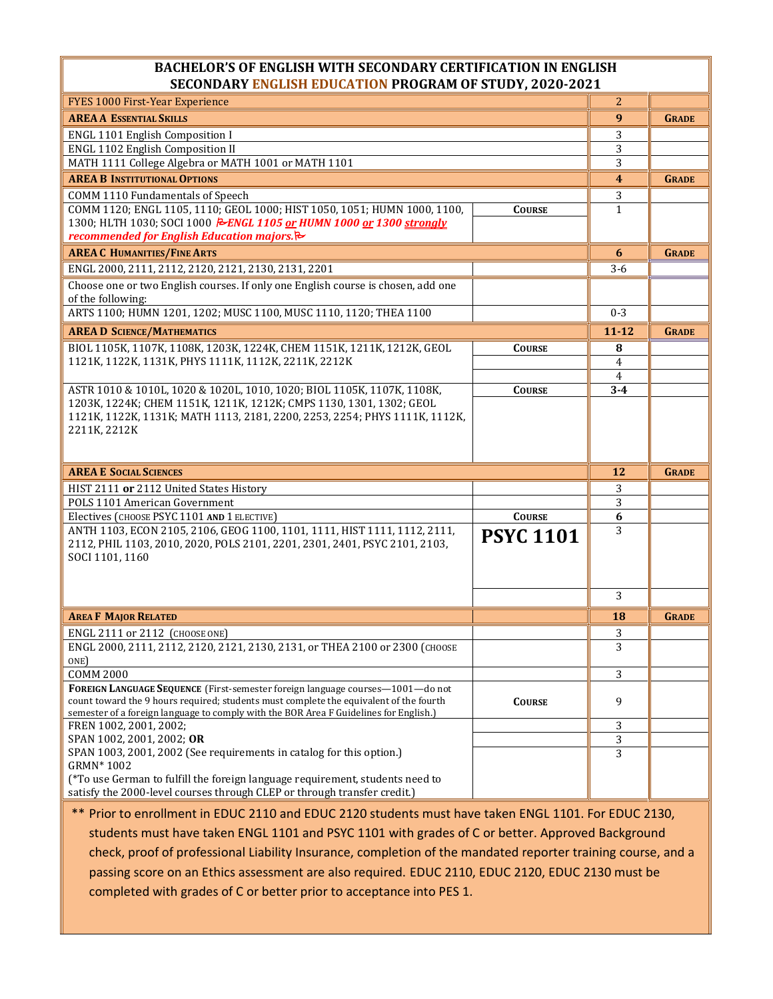## $\overline{a}$ **BACHELOR'S OF ENGLISH WITH SECONDARY CERTIFICATION IN ENGLISH SECONDARY ENGLISH EDUCATION PROGRAM OF STUDY, 2020-2021**

| FYES 1000 First-Year Experience                                                                                 |                  |                     |              |
|-----------------------------------------------------------------------------------------------------------------|------------------|---------------------|--------------|
| <b>AREA A ESSENTIAL SKILLS</b>                                                                                  |                  |                     | <b>GRADE</b> |
| <b>ENGL 1101 English Composition I</b>                                                                          |                  |                     |              |
| <b>ENGL 1102 English Composition II</b>                                                                         |                  | 3<br>$\overline{3}$ |              |
| MATH 1111 College Algebra or MATH 1001 or MATH 1101                                                             |                  |                     |              |
| <b>AREA B INSTITUTIONAL OPTIONS</b>                                                                             |                  |                     | <b>GRADE</b> |
| COMM 1110 Fundamentals of Speech                                                                                |                  | 3                   |              |
| COMM 1120; ENGL 1105, 1110; GEOL 1000; HIST 1050, 1051; HUMN 1000, 1100,<br><b>COURSE</b>                       |                  | $\mathbf{1}$        |              |
| 1300; HLTH 1030; SOCI 1000 <b>&amp;ENGL 1105 or HUMN 1000 or 1300 strongly</b>                                  |                  |                     |              |
| recommended for English Education majors.                                                                       |                  |                     |              |
| <b>AREA C HUMANITIES/FINE ARTS</b>                                                                              |                  | 6                   | <b>GRADE</b> |
| ENGL 2000, 2111, 2112, 2120, 2121, 2130, 2131, 2201                                                             |                  | $3-6$               |              |
| Choose one or two English courses. If only one English course is chosen, add one<br>of the following:           |                  |                     |              |
| ARTS 1100; HUMN 1201, 1202; MUSC 1100, MUSC 1110, 1120; THEA 1100                                               |                  | $0 - 3$             |              |
| <b>AREA D SCIENCE/MATHEMATICS</b>                                                                               |                  | $11 - 12$           | <b>GRADE</b> |
| BIOL 1105K, 1107K, 1108K, 1203K, 1224K, СНЕМ 1151K, 1211K, 1212K, GEOL                                          | <b>COURSE</b>    | 8                   |              |
| 1121K, 1122K, 1131K, PHYS 1111K, 1112K, 2211K, 2212K                                                            |                  | 4                   |              |
|                                                                                                                 |                  | 4                   |              |
| ASTR 1010 & 1010L, 1020 & 1020L, 1010, 1020; BIOL 1105K, 1107K, 1108K,                                          | <b>COURSE</b>    | $3 - 4$             |              |
| 1203K, 1224K; CHEM 1151K, 1211K, 1212K; CMPS 1130, 1301, 1302; GEOL                                             |                  |                     |              |
| 1121K, 1122K, 1131K; MATH 1113, 2181, 2200, 2253, 2254; PHYS 1111K, 1112K,                                      |                  |                     |              |
| 2211K, 2212K                                                                                                    |                  |                     |              |
|                                                                                                                 |                  |                     |              |
|                                                                                                                 |                  |                     |              |
| <b>AREA E SOCIAL SCIENCES</b>                                                                                   |                  | 12                  | <b>GRADE</b> |
| HIST 2111 or 2112 United States History                                                                         |                  | 3                   |              |
| POLS 1101 American Government                                                                                   |                  | $\overline{3}$      |              |
| Electives (CHOOSE PSYC 1101 AND 1 ELECTIVE)                                                                     | <b>COURSE</b>    | 6                   |              |
| ANTH 1103, ECON 2105, 2106, GEOG 1100, 1101, 1111, HIST 1111, 1112, 2111,                                       |                  | 3                   |              |
| 2112, PHIL 1103, 2010, 2020, POLS 2101, 2201, 2301, 2401, PSYC 2101, 2103,                                      | <b>PSYC 1101</b> |                     |              |
| SOCI 1101, 1160                                                                                                 |                  |                     |              |
|                                                                                                                 |                  |                     |              |
|                                                                                                                 |                  | 3                   |              |
| <b>AREAF MAJOR RELATED</b>                                                                                      |                  | 18                  | <b>GRADE</b> |
| ENGL 2111 or 2112 (CHOOSE ONE)                                                                                  |                  | 3                   |              |
| ENGL 2000, 2111, 2112, 2120, 2121, 2130, 2131, or THEA 2100 or 2300 (CHOOSE                                     |                  | 3                   |              |
| ONE)                                                                                                            |                  |                     |              |
| <b>COMM 2000</b>                                                                                                |                  | 3                   |              |
| FOREIGN LANGUAGE SEQUENCE (First-semester foreign language courses -1001-do not                                 |                  |                     |              |
| count toward the 9 hours required; students must complete the equivalent of the fourth                          | <b>COURSE</b>    | 9                   |              |
| semester of a foreign language to comply with the BOR Area F Guidelines for English.)<br>FREN 1002, 2001, 2002; |                  | 3                   |              |
| SPAN 1002, 2001, 2002; OR                                                                                       |                  | 3                   |              |
| SPAN 1003, 2001, 2002 (See requirements in catalog for this option.)                                            |                  | 3                   |              |
| GRMN*1002                                                                                                       |                  |                     |              |
| (*To use German to fulfill the foreign language requirement, students need to                                   |                  |                     |              |
| satisfy the 2000-level courses through CLEP or through transfer credit.)                                        |                  |                     |              |

\*\* Prior to enrollment in EDUC 2110 and EDUC 2120 students must have taken ENGL 1101. For EDUC 2130, students must have taken ENGL 1101 and PSYC 1101 with grades of C or better. Approved Background check, proof of professional Liability Insurance, completion of the mandated reporter training course, and a passing score on an Ethics assessment are also required. EDUC 2110, EDUC 2120, EDUC 2130 must be completed with grades of C or better prior to acceptance into PES 1.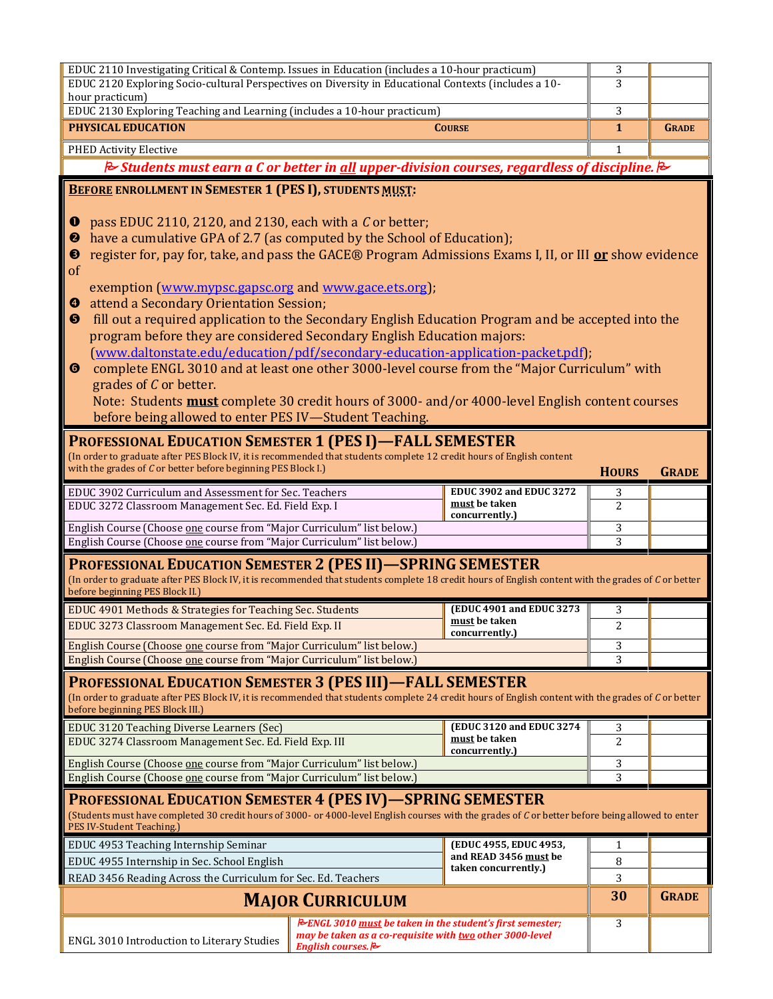| EDUC 2110 Investigating Critical & Contemp. Issues in Education (includes a 10-hour practicum)                                                                                                                                                                                                                                                                                                                                                                                                                                                                                                                                                                                                                                                                                                                                                                                                                                                                                                                                                                                                                         |                                                                                                                                                            |                                           | 3              |              |  |  |
|------------------------------------------------------------------------------------------------------------------------------------------------------------------------------------------------------------------------------------------------------------------------------------------------------------------------------------------------------------------------------------------------------------------------------------------------------------------------------------------------------------------------------------------------------------------------------------------------------------------------------------------------------------------------------------------------------------------------------------------------------------------------------------------------------------------------------------------------------------------------------------------------------------------------------------------------------------------------------------------------------------------------------------------------------------------------------------------------------------------------|------------------------------------------------------------------------------------------------------------------------------------------------------------|-------------------------------------------|----------------|--------------|--|--|
| EDUC 2120 Exploring Socio-cultural Perspectives on Diversity in Educational Contexts (includes a 10-                                                                                                                                                                                                                                                                                                                                                                                                                                                                                                                                                                                                                                                                                                                                                                                                                                                                                                                                                                                                                   |                                                                                                                                                            |                                           | 3              |              |  |  |
| hour practicum)                                                                                                                                                                                                                                                                                                                                                                                                                                                                                                                                                                                                                                                                                                                                                                                                                                                                                                                                                                                                                                                                                                        |                                                                                                                                                            |                                           |                |              |  |  |
| EDUC 2130 Exploring Teaching and Learning (includes a 10-hour practicum)                                                                                                                                                                                                                                                                                                                                                                                                                                                                                                                                                                                                                                                                                                                                                                                                                                                                                                                                                                                                                                               |                                                                                                                                                            |                                           | 3              |              |  |  |
| PHYSICAL EDUCATION                                                                                                                                                                                                                                                                                                                                                                                                                                                                                                                                                                                                                                                                                                                                                                                                                                                                                                                                                                                                                                                                                                     |                                                                                                                                                            | <b>COURSE</b>                             | $\mathbf{1}$   | <b>GRADE</b> |  |  |
| <b>PHED Activity Elective</b>                                                                                                                                                                                                                                                                                                                                                                                                                                                                                                                                                                                                                                                                                                                                                                                                                                                                                                                                                                                                                                                                                          |                                                                                                                                                            |                                           | 1              |              |  |  |
|                                                                                                                                                                                                                                                                                                                                                                                                                                                                                                                                                                                                                                                                                                                                                                                                                                                                                                                                                                                                                                                                                                                        |                                                                                                                                                            |                                           |                |              |  |  |
| $\approx$ Students must earn a C or better in <u>all</u> upper-division courses, regardless of discipline. $\approx$<br><b>BEFORE ENROLLMENT IN SEMESTER 1 (PES I), STUDENTS MUST:</b><br>pass EDUC 2110, 2120, and 2130, each with a C or better;<br>$\mathbf 0$<br>have a cumulative GPA of 2.7 (as computed by the School of Education);<br>❷<br>register for, pay for, take, and pass the GACE® Program Admissions Exams I, II, or III or show evidence<br>❸<br><sub>of</sub><br>exemption (www.mypsc.gapsc.org and www.gace.ets.org);<br>attend a Secondary Orientation Session;<br>❹<br>fill out a required application to the Secondary English Education Program and be accepted into the<br>❺<br>program before they are considered Secondary English Education majors:<br>(www.daltonstate.edu/education/pdf/secondary-education-application-packet.pdf);<br>complete ENGL 3010 and at least one other 3000-level course from the "Major Curriculum" with<br>$\bullet$<br>grades of $C$ or better.<br>Note: Students <b>must</b> complete 30 credit hours of 3000- and/or 4000-level English content courses |                                                                                                                                                            |                                           |                |              |  |  |
| before being allowed to enter PES IV-Student Teaching.                                                                                                                                                                                                                                                                                                                                                                                                                                                                                                                                                                                                                                                                                                                                                                                                                                                                                                                                                                                                                                                                 |                                                                                                                                                            |                                           |                |              |  |  |
| <b>PROFESSIONAL EDUCATION SEMESTER 1 (PES I)-FALL SEMESTER</b><br>(In order to graduate after PES Block IV, it is recommended that students complete 12 credit hours of English content<br>with the grades of $C$ or better before beginning PES Block I.)<br><b>HOURS</b><br><b>GRADE</b>                                                                                                                                                                                                                                                                                                                                                                                                                                                                                                                                                                                                                                                                                                                                                                                                                             |                                                                                                                                                            |                                           |                |              |  |  |
| EDUC 3902 Curriculum and Assessment for Sec. Teachers                                                                                                                                                                                                                                                                                                                                                                                                                                                                                                                                                                                                                                                                                                                                                                                                                                                                                                                                                                                                                                                                  |                                                                                                                                                            | <b>EDUC 3902 and EDUC 3272</b>            | 3              |              |  |  |
| EDUC 3272 Classroom Management Sec. Ed. Field Exp. I                                                                                                                                                                                                                                                                                                                                                                                                                                                                                                                                                                                                                                                                                                                                                                                                                                                                                                                                                                                                                                                                   |                                                                                                                                                            | must be taken                             | $\overline{c}$ |              |  |  |
| English Course (Choose one course from "Major Curriculum" list below.)                                                                                                                                                                                                                                                                                                                                                                                                                                                                                                                                                                                                                                                                                                                                                                                                                                                                                                                                                                                                                                                 |                                                                                                                                                            | concurrently.)                            | 3              |              |  |  |
| English Course (Choose one course from "Major Curriculum" list below.)                                                                                                                                                                                                                                                                                                                                                                                                                                                                                                                                                                                                                                                                                                                                                                                                                                                                                                                                                                                                                                                 |                                                                                                                                                            |                                           | 3              |              |  |  |
| <b>PROFESSIONAL EDUCATION SEMESTER 2 (PES II)-SPRING SEMESTER</b><br>(In order to graduate after PES Block IV, it is recommended that students complete 18 credit hours of English content with the grades of C or better<br>before beginning PES Block II.)                                                                                                                                                                                                                                                                                                                                                                                                                                                                                                                                                                                                                                                                                                                                                                                                                                                           |                                                                                                                                                            |                                           |                |              |  |  |
| EDUC 4901 Methods & Strategies for Teaching Sec. Students                                                                                                                                                                                                                                                                                                                                                                                                                                                                                                                                                                                                                                                                                                                                                                                                                                                                                                                                                                                                                                                              |                                                                                                                                                            | (EDUC 4901 and EDUC 3273<br>must be taken | 3              |              |  |  |
| EDUC 3273 Classroom Management Sec. Ed. Field Exp. II                                                                                                                                                                                                                                                                                                                                                                                                                                                                                                                                                                                                                                                                                                                                                                                                                                                                                                                                                                                                                                                                  |                                                                                                                                                            | concurrently.                             | $\overline{2}$ |              |  |  |
| English Course (Choose one course from "Major Curriculum" list below.)                                                                                                                                                                                                                                                                                                                                                                                                                                                                                                                                                                                                                                                                                                                                                                                                                                                                                                                                                                                                                                                 |                                                                                                                                                            |                                           | 3              |              |  |  |
| English Course (Choose one course from "Major Curriculum" list below.)                                                                                                                                                                                                                                                                                                                                                                                                                                                                                                                                                                                                                                                                                                                                                                                                                                                                                                                                                                                                                                                 |                                                                                                                                                            |                                           | 3              |              |  |  |
| <b>PROFESSIONAL EDUCATION SEMESTER 3 (PES III)-FALL SEMESTER</b><br>(In order to graduate after PES Block IV, it is recommended that students complete 24 credit hours of English content with the grades of C or better<br>before beginning PES Block III.)                                                                                                                                                                                                                                                                                                                                                                                                                                                                                                                                                                                                                                                                                                                                                                                                                                                           |                                                                                                                                                            |                                           |                |              |  |  |
| EDUC 3120 Teaching Diverse Learners (Sec)                                                                                                                                                                                                                                                                                                                                                                                                                                                                                                                                                                                                                                                                                                                                                                                                                                                                                                                                                                                                                                                                              |                                                                                                                                                            | (EDUC 3120 and EDUC 3274                  | 3              |              |  |  |
| EDUC 3274 Classroom Management Sec. Ed. Field Exp. III                                                                                                                                                                                                                                                                                                                                                                                                                                                                                                                                                                                                                                                                                                                                                                                                                                                                                                                                                                                                                                                                 |                                                                                                                                                            | must be taken<br>concurrently.)           | $\overline{c}$ |              |  |  |
| English Course (Choose one course from "Major Curriculum" list below.)                                                                                                                                                                                                                                                                                                                                                                                                                                                                                                                                                                                                                                                                                                                                                                                                                                                                                                                                                                                                                                                 |                                                                                                                                                            | 3                                         |                |              |  |  |
| English Course (Choose one course from "Major Curriculum" list below.)                                                                                                                                                                                                                                                                                                                                                                                                                                                                                                                                                                                                                                                                                                                                                                                                                                                                                                                                                                                                                                                 |                                                                                                                                                            |                                           | 3              |              |  |  |
| <b>PROFESSIONAL EDUCATION SEMESTER 4 (PES IV)-SPRING SEMESTER</b><br>(Students must have completed 30 credit hours of 3000- or 4000-level English courses with the grades of C or better before being allowed to enter<br>PES IV-Student Teaching.]                                                                                                                                                                                                                                                                                                                                                                                                                                                                                                                                                                                                                                                                                                                                                                                                                                                                    |                                                                                                                                                            |                                           |                |              |  |  |
| EDUC 4953 Teaching Internship Seminar                                                                                                                                                                                                                                                                                                                                                                                                                                                                                                                                                                                                                                                                                                                                                                                                                                                                                                                                                                                                                                                                                  |                                                                                                                                                            | (EDUC 4955, EDUC 4953,                    | 1              |              |  |  |
| EDUC 4955 Internship in Sec. School English                                                                                                                                                                                                                                                                                                                                                                                                                                                                                                                                                                                                                                                                                                                                                                                                                                                                                                                                                                                                                                                                            |                                                                                                                                                            | and READ 3456 must be                     | 8              |              |  |  |
| taken concurrently.)<br>READ 3456 Reading Across the Curriculum for Sec. Ed. Teachers                                                                                                                                                                                                                                                                                                                                                                                                                                                                                                                                                                                                                                                                                                                                                                                                                                                                                                                                                                                                                                  |                                                                                                                                                            | 3                                         |                |              |  |  |
| <b>MAJOR CURRICULUM</b>                                                                                                                                                                                                                                                                                                                                                                                                                                                                                                                                                                                                                                                                                                                                                                                                                                                                                                                                                                                                                                                                                                |                                                                                                                                                            |                                           | 30             | <b>GRADE</b> |  |  |
| ENGL 3010 Introduction to Literary Studies                                                                                                                                                                                                                                                                                                                                                                                                                                                                                                                                                                                                                                                                                                                                                                                                                                                                                                                                                                                                                                                                             | <b>PENGL 3010 must be taken in the student's first semester;</b><br>may be taken as a co-requisite with two other 3000-level<br>English courses. $\approx$ |                                           | 3              |              |  |  |